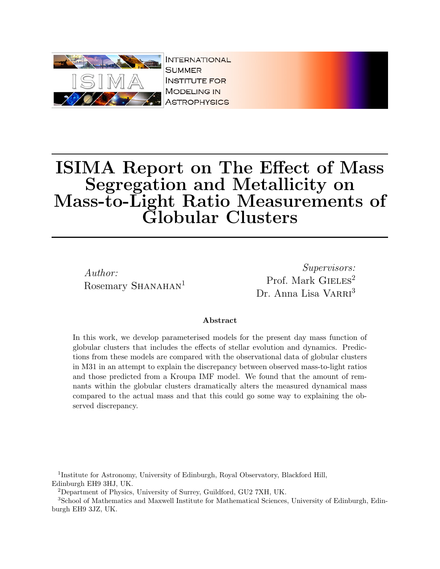

**INTERNATIONAL SUMMER INSTITUTE FOR MODELING IN ASTROPHYSICS** 

# ISIMA Report on The Effect of Mass Segregation and Metallicity on Mass-to-Light Ratio Measurements of Globular Clusters

Author: Rosemary SHANAHAN<sup>1</sup>

Supervisors: Prof. Mark  $\text{GIELES}^2$ Dr. Anna Lisa VARRI<sup>3</sup>

#### Abstract

In this work, we develop parameterised models for the present day mass function of globular clusters that includes the effects of stellar evolution and dynamics. Predictions from these models are compared with the observational data of globular clusters in M31 in an attempt to explain the discrepancy between observed mass-to-light ratios and those predicted from a Kroupa IMF model. We found that the amount of remnants within the globular clusters dramatically alters the measured dynamical mass compared to the actual mass and that this could go some way to explaining the observed discrepancy.

<sup>1</sup>Institute for Astronomy, University of Edinburgh, Royal Observatory, Blackford Hill, Edinburgh EH9 3HJ, UK.

<sup>2</sup>Department of Physics, University of Surrey, Guildford, GU2 7XH, UK.

<sup>3</sup>School of Mathematics and Maxwell Institute for Mathematical Sciences, University of Edinburgh, Edinburgh EH9 3JZ, UK.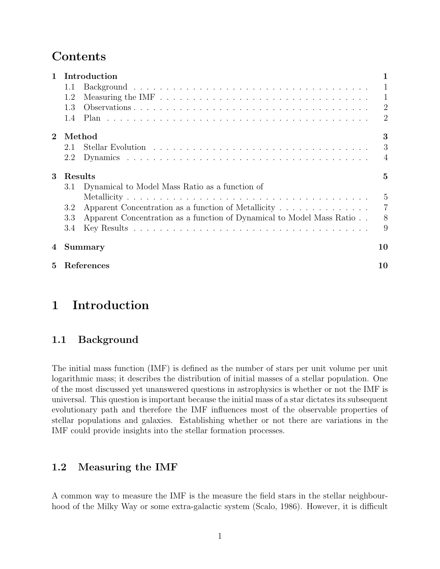# Contents

| $\mathbf{1}$ | Introduction                                                                 |                |
|--------------|------------------------------------------------------------------------------|----------------|
|              | 1.1                                                                          | 1              |
|              | 1.2                                                                          | $\mathbf{1}$   |
|              | 1.3                                                                          | $\overline{2}$ |
|              | 1.4                                                                          | 2              |
| $\mathbf{2}$ | Method                                                                       | 3              |
|              | 2.1                                                                          | 3              |
|              | 2.2                                                                          | $\overline{A}$ |
| 3            | Results                                                                      | 5              |
|              | Dynamical to Model Mass Ratio as a function of<br>3.1                        |                |
|              |                                                                              | $\frac{5}{2}$  |
|              | Apparent Concentration as a function of Metallicity<br>3.2                   | $\overline{7}$ |
|              | Apparent Concentration as a function of Dynamical to Model Mass Ratio<br>3.3 | 8              |
|              | 3.4                                                                          | 9              |
| 4            | Summary                                                                      | 10             |
| 5            | References                                                                   | 10             |

# 1 Introduction

## 1.1 Background

The initial mass function (IMF) is defined as the number of stars per unit volume per unit logarithmic mass; it describes the distribution of initial masses of a stellar population. One of the most discussed yet unanswered questions in astrophysics is whether or not the IMF is universal. This question is important because the initial mass of a star dictates its subsequent evolutionary path and therefore the IMF influences most of the observable properties of stellar populations and galaxies. Establishing whether or not there are variations in the IMF could provide insights into the stellar formation processes.

## 1.2 Measuring the IMF

A common way to measure the IMF is the measure the field stars in the stellar neighbourhood of the Milky Way or some extra-galactic system (Scalo, 1986). However, it is difficult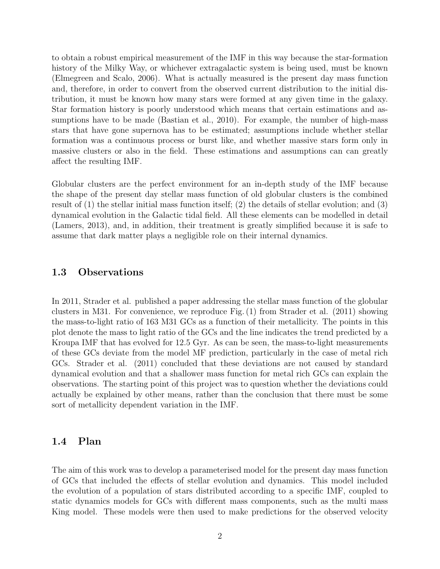to obtain a robust empirical measurement of the IMF in this way because the star-formation history of the Milky Way, or whichever extragalactic system is being used, must be known (Elmegreen and Scalo, 2006). What is actually measured is the present day mass function and, therefore, in order to convert from the observed current distribution to the initial distribution, it must be known how many stars were formed at any given time in the galaxy. Star formation history is poorly understood which means that certain estimations and assumptions have to be made (Bastian et al., 2010). For example, the number of high-mass stars that have gone supernova has to be estimated; assumptions include whether stellar formation was a continuous process or burst like, and whether massive stars form only in massive clusters or also in the field. These estimations and assumptions can can greatly affect the resulting IMF.

Globular clusters are the perfect environment for an in-depth study of the IMF because the shape of the present day stellar mass function of old globular clusters is the combined result of (1) the stellar initial mass function itself; (2) the details of stellar evolution; and (3) dynamical evolution in the Galactic tidal field. All these elements can be modelled in detail (Lamers, 2013), and, in addition, their treatment is greatly simplified because it is safe to assume that dark matter plays a negligible role on their internal dynamics.

### 1.3 Observations

In 2011, Strader et al. published a paper addressing the stellar mass function of the globular clusters in M31. For convenience, we reproduce Fig. (1) from Strader et al. (2011) showing the mass-to-light ratio of 163 M31 GCs as a function of their metallicity. The points in this plot denote the mass to light ratio of the GCs and the line indicates the trend predicted by a Kroupa IMF that has evolved for 12.5 Gyr. As can be seen, the mass-to-light measurements of these GCs deviate from the model MF prediction, particularly in the case of metal rich GCs. Strader et al. (2011) concluded that these deviations are not caused by standard dynamical evolution and that a shallower mass function for metal rich GCs can explain the observations. The starting point of this project was to question whether the deviations could actually be explained by other means, rather than the conclusion that there must be some sort of metallicity dependent variation in the IMF.

#### 1.4 Plan

The aim of this work was to develop a parameterised model for the present day mass function of GCs that included the effects of stellar evolution and dynamics. This model included the evolution of a population of stars distributed according to a specific IMF, coupled to static dynamics models for GCs with different mass components, such as the multi mass King model. These models were then used to make predictions for the observed velocity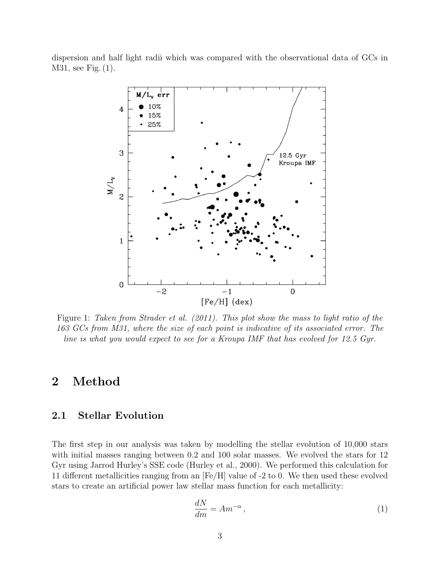dispersion and half light radii which was compared with the observational data of GCs in M31, see Fig. (1).



Figure 1: Taken from Strader et al. (2011). This plot show the mass to light ratio of the 163 GCs from M31, where the size of each point is indicative of its associated error. The line is what you would expect to see for a Kroupa IMF that has evolved for 12.5 Gyr.

## 2 Method

## 2.1 Stellar Evolution

The first step in our analysis was taken by modelling the stellar evolution of 10,000 stars with initial masses ranging between 0.2 and 100 solar masses. We evolved the stars for 12 Gyr using Jarrod Hurley's SSE code (Hurley et al., 2000). We performed this calculation for 11 different metallicities ranging from an [Fe/H] value of -2 to 0. We then used these evolved stars to create an artificial power law stellar mass function for each metallicity:

$$
\frac{dN}{dm} = Am^{-\alpha},\tag{1}
$$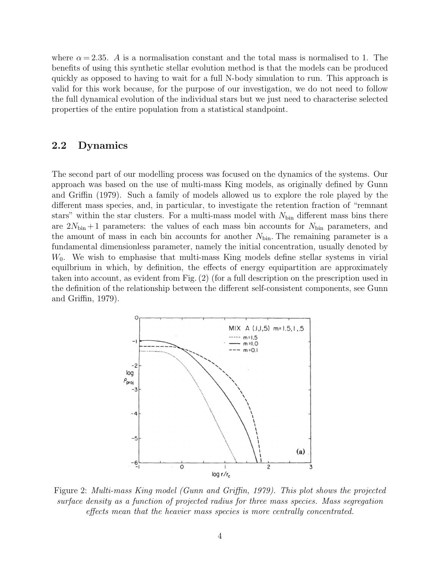where  $\alpha = 2.35$ . A is a normalisation constant and the total mass is normalised to 1. The benefits of using this synthetic stellar evolution method is that the models can be produced quickly as opposed to having to wait for a full N-body simulation to run. This approach is valid for this work because, for the purpose of our investigation, we do not need to follow the full dynamical evolution of the individual stars but we just need to characterise selected properties of the entire population from a statistical standpoint.

#### 2.2 Dynamics

The second part of our modelling process was focused on the dynamics of the systems. Our approach was based on the use of multi-mass King models, as originally defined by Gunn and Griffin (1979). Such a family of models allowed us to explore the role played by the different mass species, and, in particular, to investigate the retention fraction of "remnant stars" within the star clusters. For a multi-mass model with  $N_{\text{bin}}$  different mass bins there are  $2N_{\text{bin}}+1$  parameters: the values of each mass bin accounts for  $N_{\text{bin}}$  parameters, and the amount of mass in each bin accounts for another  $N_{\text{bin}}$ . The remaining parameter is a fundamental dimensionless parameter, namely the initial concentration, usually denoted by  $W_0$ . We wish to emphasise that multi-mass King models define stellar systems in virial equilbrium in which, by definition, the effects of energy equipartition are approximately taken into account, as evident from Fig. (2) (for a full description on the prescription used in the definition of the relationship between the different self-consistent components, see Gunn and Griffin, 1979).



Figure 2: Multi-mass King model (Gunn and Griffin, 1979). This plot shows the projected surface density as a function of projected radius for three mass species. Mass segregation effects mean that the heavier mass species is more centrally concentrated.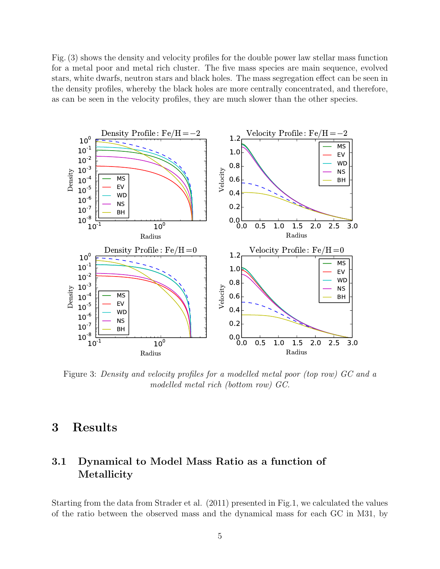Fig. (3) shows the density and velocity profiles for the double power law stellar mass function for a metal poor and metal rich cluster. The five mass species are main sequence, evolved stars, white dwarfs, neutron stars and black holes. The mass segregation effect can be seen in the density profiles, whereby the black holes are more centrally concentrated, and therefore, as can be seen in the velocity profiles, they are much slower than the other species.



Figure 3: Density and velocity profiles for a modelled metal poor (top row) GC and a modelled metal rich (bottom row) GC.

# 3 Results

## 3.1 Dynamical to Model Mass Ratio as a function of Metallicity

Starting from the data from Strader et al. (2011) presented in Fig.1, we calculated the values of the ratio between the observed mass and the dynamical mass for each GC in M31, by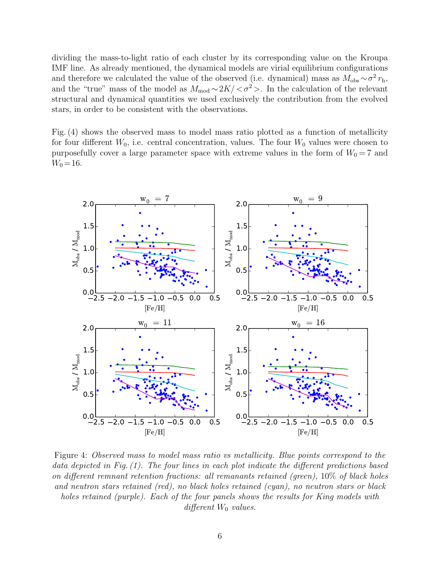dividing the mass-to-light ratio of each cluster by its corresponding value on the Kroupa IMF line. As already mentioned, the dynamical models are virial equilibrium configurations and therefore we calculated the value of the observed (i.e. dynamical) mass as  $M_{\rm obs} \sim \sigma^2 r_{\rm h}$ , and the "true" mass of the model as  $M_{mod} \sim 2K/<\sigma^2>$ . In the calculation of the relevant structural and dynamical quantities we used exclusively the contribution from the evolved stars, in order to be consistent with the observations.

Fig. (4) shows the observed mass to model mass ratio plotted as a function of metallicity for four different  $W_0$ , i.e. central concentration, values. The four  $W_0$  values were chosen to purposefully cover a large parameter space with extreme values in the form of  $W_0 = 7$  and  $W_0 = 16.$ 



Figure 4: Observed mass to model mass ratio vs metallicity. Blue points correspond to the data depicted in Fig. (1). The four lines in each plot indicate the different predictions based on different remnant retention fractions: all remanants retained (green), 10% of black holes and neutron stars retained (red), no black holes retained (cyan), no neutron stars or black holes retained (purple). Each of the four panels shows the results for King models with different  $W_0$  values.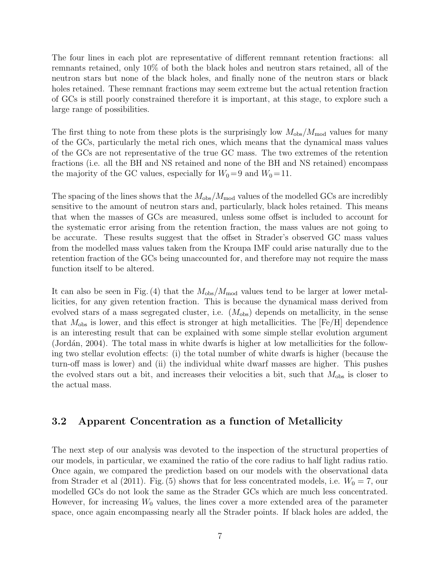The four lines in each plot are representative of different remnant retention fractions: all remnants retained, only 10% of both the black holes and neutron stars retained, all of the neutron stars but none of the black holes, and finally none of the neutron stars or black holes retained. These remnant fractions may seem extreme but the actual retention fraction of GCs is still poorly constrained therefore it is important, at this stage, to explore such a large range of possibilities.

The first thing to note from these plots is the surprisingly low  $M_{obs}/M_{mod}$  values for many of the GCs, particularly the metal rich ones, which means that the dynamical mass values of the GCs are not representative of the true GC mass. The two extremes of the retention fractions (i.e. all the BH and NS retained and none of the BH and NS retained) encompass the majority of the GC values, especially for  $W_0 = 9$  and  $W_0 = 11$ .

The spacing of the lines shows that the  $M_{obs}/M_{mod}$  values of the modelled GCs are incredibly sensitive to the amount of neutron stars and, particularly, black holes retained. This means that when the masses of GCs are measured, unless some offset is included to account for the systematic error arising from the retention fraction, the mass values are not going to be accurate. These results suggest that the offset in Strader's observed GC mass values from the modelled mass values taken from the Kroupa IMF could arise naturally due to the retention fraction of the GCs being unaccounted for, and therefore may not require the mass function itself to be altered.

It can also be seen in Fig. (4) that the  $M_{obs}/M_{mod}$  values tend to be larger at lower metallicities, for any given retention fraction. This is because the dynamical mass derived from evolved stars of a mass segregated cluster, i.e.  $(M_{obs})$  depends on metallicity, in the sense that  $M_{\text{obs}}$  is lower, and this effect is stronger at high metallicities. The [Fe/H] dependence is an interesting result that can be explained with some simple stellar evolution argument (Jordán, 2004). The total mass in white dwarfs is higher at low metallicities for the following two stellar evolution effects: (i) the total number of white dwarfs is higher (because the turn-off mass is lower) and (ii) the individual white dwarf masses are higher. This pushes the evolved stars out a bit, and increases their velocities a bit, such that  $M_{\text{obs}}$  is closer to the actual mass.

#### 3.2 Apparent Concentration as a function of Metallicity

The next step of our analysis was devoted to the inspection of the structural properties of our models, in particular, we examined the ratio of the core radius to half light radius ratio. Once again, we compared the prediction based on our models with the observational data from Strader et al (2011). Fig. (5) shows that for less concentrated models, i.e.  $W_0 = 7$ , our modelled GCs do not look the same as the Strader GCs which are much less concentrated. However, for increasing  $W_0$  values, the lines cover a more extended area of the parameter space, once again encompassing nearly all the Strader points. If black holes are added, the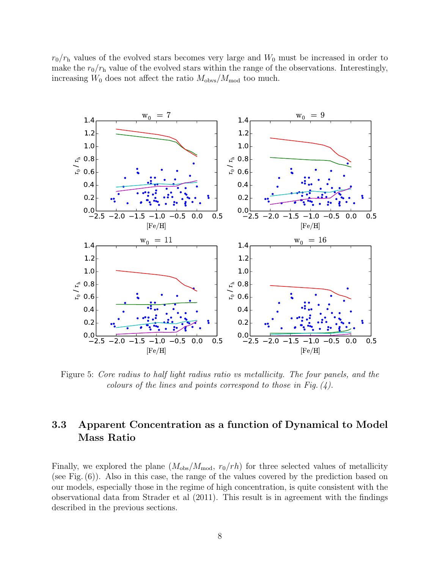$r_0/r_h$  values of the evolved stars becomes very large and  $W_0$  must be increased in order to make the  $r_0/r_h$  value of the evolved stars within the range of the observations. Interestingly, increasing  $W_0$  does not affect the ratio  $M_{\text{obvs}}/M_{\text{mod}}$  too much.



Figure 5: Core radius to half light radius ratio vs metallicity. The four panels, and the colours of the lines and points correspond to those in Fig.  $(4)$ .

## 3.3 Apparent Concentration as a function of Dynamical to Model Mass Ratio

Finally, we explored the plane  $(M_{obs}/M_{mod}, r_0/rh)$  for three selected values of metallicity (see Fig. (6)). Also in this case, the range of the values covered by the prediction based on our models, especially those in the regime of high concentration, is quite consistent with the observational data from Strader et al (2011). This result is in agreement with the findings described in the previous sections.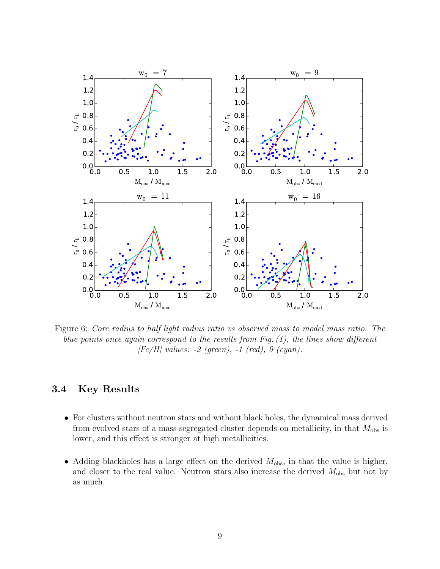

Figure 6: Core radius to half light radius ratio vs observed mass to model mass ratio. The blue points once again correspond to the results from Fig.  $(1)$ , the lines show different  $[Fe/H]$  values: -2 (green), -1 (red), 0 (cyan).

## 3.4 Key Results

- For clusters without neutron stars and without black holes, the dynamical mass derived from evolved stars of a mass segregated cluster depends on metallicity, in that  $M_{obs}$  is lower, and this effect is stronger at high metallicities.
- Adding blackholes has a large effect on the derived  $M_{obs}$ , in that the value is higher, and closer to the real value. Neutron stars also increase the derived  $M_{obs}$  but not by as much.